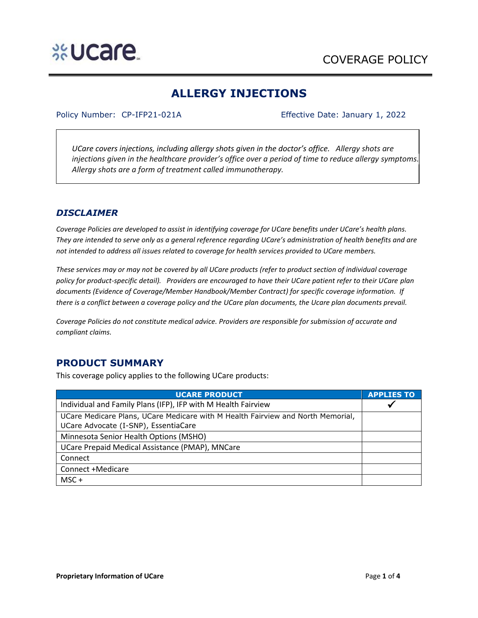# **ALLERGY INJECTIONS**

#### Policy Number: CP-IFP21-021A Effective Date: January 1, 2022

*UCare covers injections, including allergy shots given in the doctor's office. Allergy shots are injections given in the healthcare provider's office over a period of time to reduce allergy symptoms. Allergy shots are a form of treatment called immunotherapy.* 

# *DISCLAIMER*

*Coverage Policies are developed to assist in identifying coverage for UCare benefits under UCare's health plans. They are intended to serve only as a general reference regarding UCare's administration of health benefits and are not intended to address all issues related to coverage for health services provided to UCare members.*

*These services may or may not be covered by all UCare products (refer to product section of individual coverage policy for product-specific detail). Providers are encouraged to have their UCare patient refer to their UCare plan documents (Evidence of Coverage/Member Handbook/Member Contract) for specific coverage information. If there is a conflict between a coverage policy and the UCare plan documents, the Ucare plan documents prevail.* 

*Coverage Policies do not constitute medical advice. Providers are responsible for submission of accurate and compliant claims.* 

# **PRODUCT SUMMARY**

This coverage policy applies to the following UCare products:

| <b>UCARE PRODUCT</b>                                                            | <b>APPLIES TO</b> |
|---------------------------------------------------------------------------------|-------------------|
| Individual and Family Plans (IFP), IFP with M Health Fairview                   |                   |
| UCare Medicare Plans, UCare Medicare with M Health Fairview and North Memorial, |                   |
| UCare Advocate (I-SNP), EssentiaCare                                            |                   |
| Minnesota Senior Health Options (MSHO)                                          |                   |
| UCare Prepaid Medical Assistance (PMAP), MNCare                                 |                   |
| Connect                                                                         |                   |
| Connect +Medicare                                                               |                   |
| $MSC +$                                                                         |                   |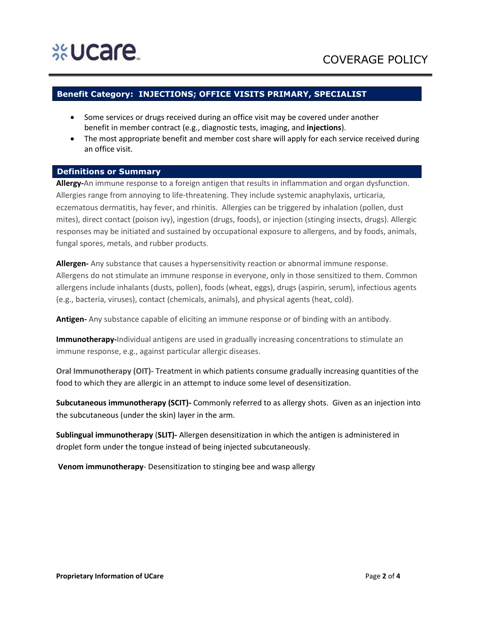# **Benefit Category: INJECTIONS; OFFICE VISITS PRIMARY, SPECIALIST**

- Some services or drugs received during an office visit may be covered under another benefit in member contract (e.g., diagnostic tests, imaging, and **injections**).
- The most appropriate benefit and member cost share will apply for each service received during an office visit.

### **Definitions or Summary**

**Allergy-**An immune response to a foreign antigen that results in inflammation and organ dysfunction. Allergies range from annoying to life-threatening. They include systemic anaphylaxis, urticaria, eczematous dermatitis, hay fever, and rhinitis. Allergies can be triggered by inhalation (pollen, dust mites), direct contact (poison ivy), ingestion (drugs, foods), or injection (stinging insects, drugs). Allergic responses may be initiated and sustained by occupational exposure to allergens, and by foods, animals, fungal spores, metals, and rubber products.

**Allergen-** Any substance that causes a hypersensitivity reaction or abnormal immune response. Allergens do not stimulate an immune response in everyone, only in those sensitized to them. Common allergens include inhalants (dusts, pollen), foods (wheat, eggs), drugs (aspirin, serum), infectious agents (e.g., bacteria, viruses), contact (chemicals, animals), and physical agents (heat, cold).

**Antigen-** Any substance capable of eliciting an immune response or of binding with an antibody.

**Immunotherapy-**Individual antigens are used in gradually increasing concentrations to stimulate an immune response, e.g., against particular allergic diseases.

**Oral Immunotherapy (OIT)-** Treatment in which patients consume gradually increasing quantities of the food to which they are allergic in an attempt to induce some level of desensitization.

**Subcutaneous immunotherapy (SCIT)-** Commonly referred to as allergy shots. Given as an injection into the subcutaneous (under the skin) layer in the arm.

**Sublingual immunotherapy** (**SLIT)-** Allergen desensitization in which the antigen is administered in droplet form under the tongue instead of being injected subcutaneously.

**Venom immunotherapy**- Desensitization to stinging bee and wasp allergy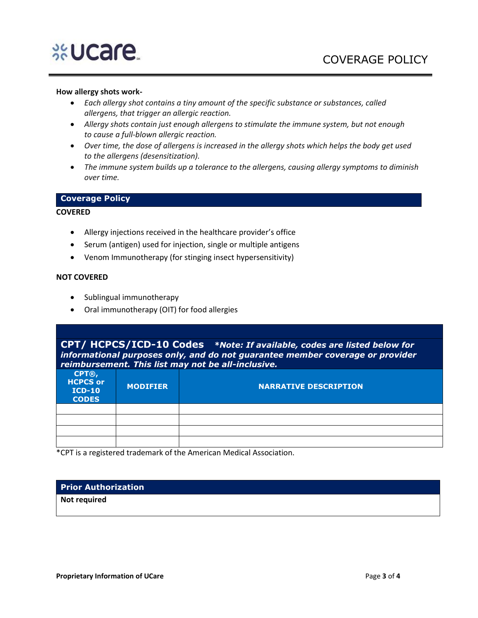# %Ucare

### **How allergy shots work-**

- *Each allergy shot contains a tiny amount of the specific substance or substances, called allergens, that trigger an allergic reaction.*
- *Allergy shots contain just enough allergens to stimulate the immune system, but not enough to cause a full-blown allergic reaction.*
- *Over time, the dose of allergens is increased in the allergy shots which helps the body get used to the allergens (desensitization).*
- *The immune system builds up a tolerance to the allergens, causing allergy symptoms to diminish over time.*

## **Coverage Policy**

### **COVERED**

- Allergy injections received in the healthcare provider's office
- Serum (antigen) used for injection, single or multiple antigens
- Venom Immunotherapy (for stinging insect hypersensitivity)

### **NOT COVERED**

- Sublingual immunotherapy
- Oral immunotherapy (OIT) for food allergies

**CPT/ HCPCS/ICD-10 Codes** *\*Note: If available, codes are listed below for informational purposes only, and do not guarantee member coverage or provider reimbursement. This list may not be all-inclusive.*

| CPT®,<br><b>HCPCS or</b><br><b>ICD-10</b><br><b>CODES</b> | <b>MODIFIER</b> | <b>NARRATIVE DESCRIPTION</b> |
|-----------------------------------------------------------|-----------------|------------------------------|
|                                                           |                 |                              |
|                                                           |                 |                              |
|                                                           |                 |                              |
|                                                           |                 |                              |

\*CPT is a registered trademark of the American Medical Association.

## **Prior Authorization**

**Not required**